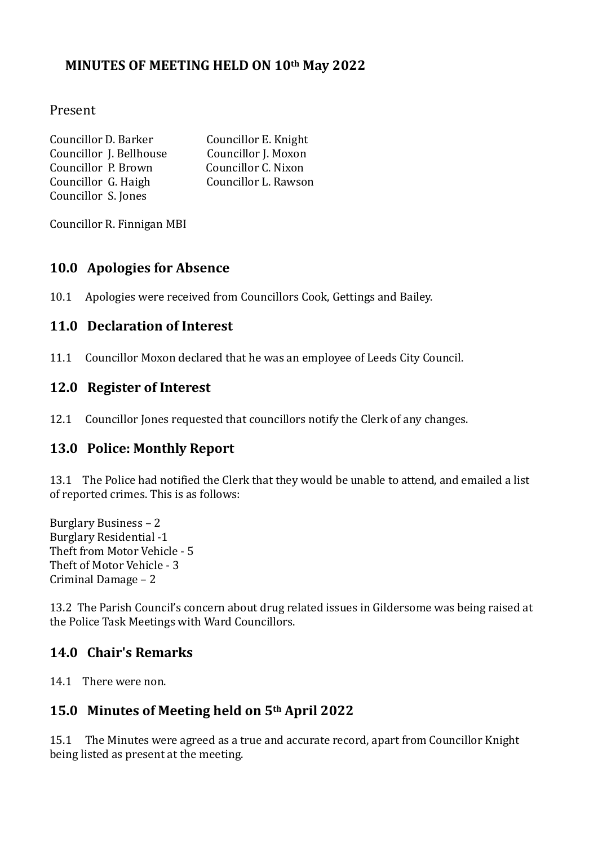## **MINUTES OF MEETING HELD ON 10th May 2022**

#### Present

| Councillor D. Barker    | Councillor E. Knight |
|-------------------------|----------------------|
| Councillor J. Bellhouse | Councillor J. Moxon  |
| Councillor P. Brown     | Councillor C. Nixon  |
| Councillor G. Haigh     | Councillor L. Rawson |
| Councillor S. Jones     |                      |

Councillor R. Finnigan MBI

### **10.0 Apologies for Absence**

10.1 Apologies were received from Councillors Cook, Gettings and Bailey.

### **11.0 Declaration of Interest**

11.1 Councillor Moxon declared that he was an employee of Leeds City Council.

#### **12.0 Register of Interest**

12.1 Councillor Jones requested that councillors notify the Clerk of any changes.

### **13.0 Police: Monthly Report**

13.1 The Police had notified the Clerk that they would be unable to attend, and emailed a list of reported crimes. This is as follows:

Burglary Business – 2 Burglary Residential -1 Theft from Motor Vehicle - 5 Theft of Motor Vehicle - 3 Criminal Damage – 2

13.2 The Parish Council's concern about drug related issues in Gildersome was being raised at the Police Task Meetings with Ward Councillors.

### **14.0 Chair's Remarks**

14.1 There were non.

### **15.0 Minutes of Meeting held on 5th April 2022**

15.1 The Minutes were agreed as a true and accurate record, apart from Councillor Knight being listed as present at the meeting.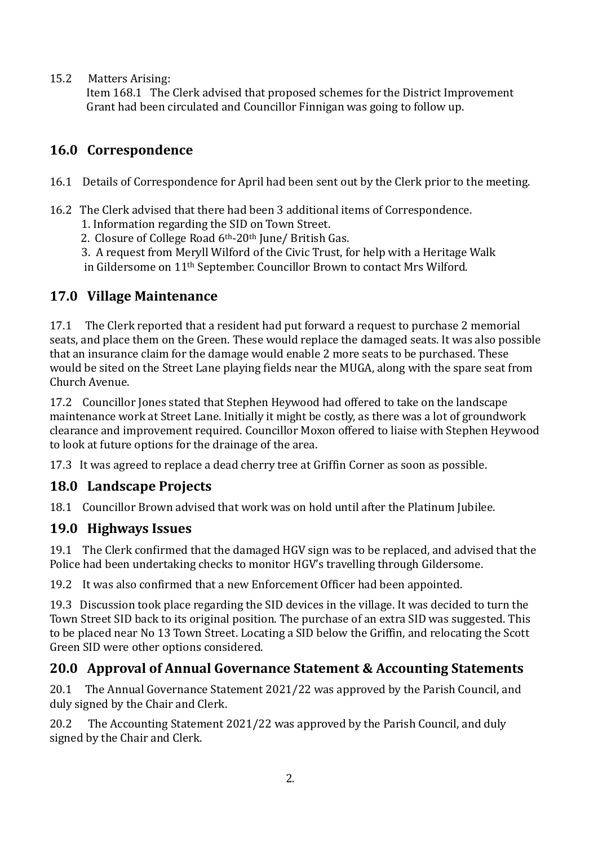15.2 Matters Arising:

 Item 168.1 The Clerk advised that proposed schemes for the District Improvement Grant had been circulated and Councillor Finnigan was going to follow up.

# **16.0 Correspondence**

- 16.1 Details of Correspondence for April had been sent out by the Clerk prior to the meeting.
- 16.2 The Clerk advised that there had been 3 additional items of Correspondence.
	- 1. Information regarding the SID on Town Street.
	- 2. Closure of College Road 6th-20th June/ British Gas.
	- 3. A request from Meryll Wilford of the Civic Trust, for help with a Heritage Walk in Gildersome on 11th September. Councillor Brown to contact Mrs Wilford.

# **17.0 Village Maintenance**

17.1 The Clerk reported that a resident had put forward a request to purchase 2 memorial seats, and place them on the Green. These would replace the damaged seats. It was also possible that an insurance claim for the damage would enable 2 more seats to be purchased. These would be sited on the Street Lane playing fields near the MUGA, along with the spare seat from Church Avenue.

17.2 Councillor Jones stated that Stephen Heywood had offered to take on the landscape maintenance work at Street Lane. Initially it might be costly, as there was a lot of groundwork clearance and improvement required. Councillor Moxon offered to liaise with Stephen Heywood to look at future options for the drainage of the area.

17.3 It was agreed to replace a dead cherry tree at Griffin Corner as soon as possible.

# **18.0 Landscape Projects**

18.1 Councillor Brown advised that work was on hold until after the Platinum Jubilee.

## **19.0 Highways Issues**

19.1 The Clerk confirmed that the damaged HGV sign was to be replaced, and advised that the Police had been undertaking checks to monitor HGV's travelling through Gildersome.

19.2 It was also confirmed that a new Enforcement Officer had been appointed.

19.3 Discussion took place regarding the SID devices in the village. It was decided to turn the Town Street SID back to its original position. The purchase of an extra SID was suggested. This to be placed near No 13 Town Street. Locating a SID below the Griffin, and relocating the Scott Green SID were other options considered.

# **20.0 Approval of Annual Governance Statement & Accounting Statements**

20.1 The Annual Governance Statement 2021/22 was approved by the Parish Council, and duly signed by the Chair and Clerk.

20.2 The Accounting Statement 2021/22 was approved by the Parish Council, and duly signed by the Chair and Clerk.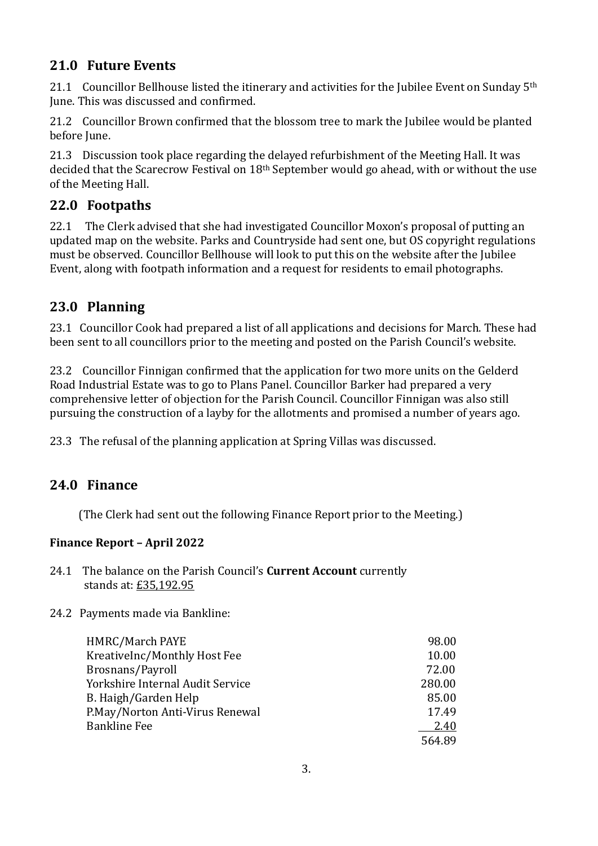## **21.0 Future Events**

21.1 Councillor Bellhouse listed the itinerary and activities for the Jubilee Event on Sunday  $5<sup>th</sup>$ June. This was discussed and confirmed.

21.2 Councillor Brown confirmed that the blossom tree to mark the Jubilee would be planted before June.

21.3 Discussion took place regarding the delayed refurbishment of the Meeting Hall. It was decided that the Scarecrow Festival on 18th September would go ahead, with or without the use of the Meeting Hall.

## **22.0 Footpaths**

22.1 The Clerk advised that she had investigated Councillor Moxon's proposal of putting an updated map on the website. Parks and Countryside had sent one, but OS copyright regulations must be observed. Councillor Bellhouse will look to put this on the website after the Jubilee Event, along with footpath information and a request for residents to email photographs.

## **23.0 Planning**

23.1 Councillor Cook had prepared a list of all applications and decisions for March. These had been sent to all councillors prior to the meeting and posted on the Parish Council's website.

23.2 Councillor Finnigan confirmed that the application for two more units on the Gelderd Road Industrial Estate was to go to Plans Panel. Councillor Barker had prepared a very comprehensive letter of objection for the Parish Council. Councillor Finnigan was also still pursuing the construction of a layby for the allotments and promised a number of years ago.

23.3 The refusal of the planning application at Spring Villas was discussed.

## **24.0 Finance**

(The Clerk had sent out the following Finance Report prior to the Meeting.)

### **Finance Report – April 2022**

- 24.1 The balance on the Parish Council's **Current Account** currently stands at: £35,192.95
- 24.2 Payments made via Bankline:

| HMRC/March PAYE                  | 98.00  |
|----------------------------------|--------|
| KreativeInc/Monthly Host Fee     | 10.00  |
| Brosnans/Payroll                 | 72.00  |
| Yorkshire Internal Audit Service | 280.00 |
| B. Haigh/Garden Help             | 85.00  |
| P.May/Norton Anti-Virus Renewal  | 17.49  |
| <b>Bankline Fee</b>              | 2.40   |
|                                  | 56489  |
|                                  |        |